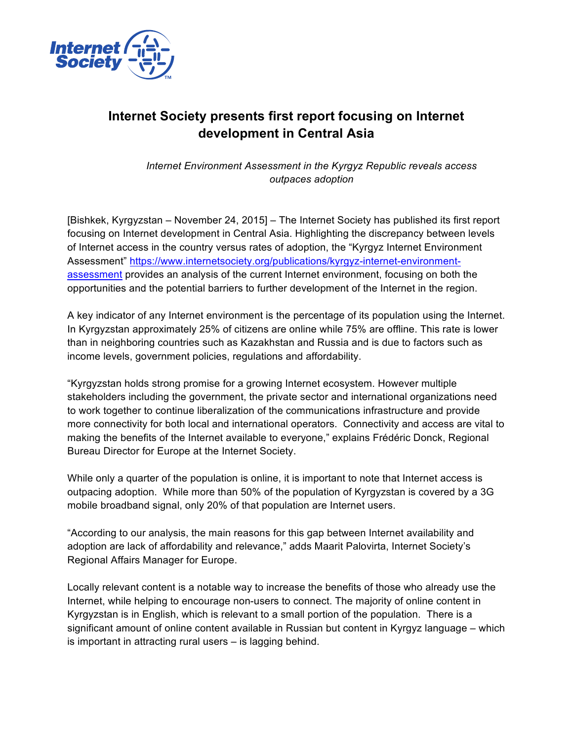

## **Internet Society presents first report focusing on Internet development in Central Asia**

*Internet Environment Assessment in the Kyrgyz Republic reveals access outpaces adoption*

[Bishkek, Kyrgyzstan – November 24, 2015] – The Internet Society has published its first report focusing on Internet development in Central Asia. Highlighting the discrepancy between levels of Internet access in the country versus rates of adoption, the "Kyrgyz Internet Environment Assessment" https://www.internetsociety.org/publications/kyrgyz-internet-environmentassessment provides an analysis of the current Internet environment, focusing on both the opportunities and the potential barriers to further development of the Internet in the region.

A key indicator of any Internet environment is the percentage of its population using the Internet. In Kyrgyzstan approximately 25% of citizens are online while 75% are offline. This rate is lower than in neighboring countries such as Kazakhstan and Russia and is due to factors such as income levels, government policies, regulations and affordability.

"Kyrgyzstan holds strong promise for a growing Internet ecosystem. However multiple stakeholders including the government, the private sector and international organizations need to work together to continue liberalization of the communications infrastructure and provide more connectivity for both local and international operators. Connectivity and access are vital to making the benefits of the Internet available to everyone," explains Frédéric Donck, Regional Bureau Director for Europe at the Internet Society.

While only a quarter of the population is online, it is important to note that Internet access is outpacing adoption. While more than 50% of the population of Kyrgyzstan is covered by a 3G mobile broadband signal, only 20% of that population are Internet users.

"According to our analysis, the main reasons for this gap between Internet availability and adoption are lack of affordability and relevance," adds Maarit Palovirta, Internet Society's Regional Affairs Manager for Europe.

Locally relevant content is a notable way to increase the benefits of those who already use the Internet, while helping to encourage non-users to connect. The majority of online content in Kyrgyzstan is in English, which is relevant to a small portion of the population. There is a significant amount of online content available in Russian but content in Kyrgyz language – which is important in attracting rural users – is lagging behind.